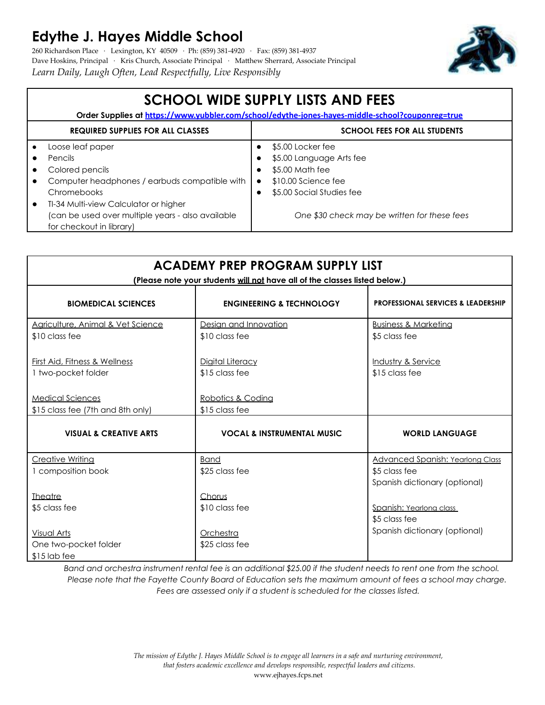## **Edythe J. Hayes Middle School**

260 Richardson Place · Lexington, KY 40509 · Ph: (859) 381-4920 · Fax: (859) 381-4937 Dave Hoskins, Principal · Kris Church, Associate Principal · Matthew Sherrard, Associate Principal *Learn Daily, Laugh Often, Lead Respectfully, Live Responsibly*



| <b>SCHOOL WIDE SUPPLY LISTS AND FEES</b><br>Order Supplies at https://www.yubbler.com/school/edythe-jones-hayes-middle-school?couponreg=true |                                                                                                                        |                                     |                                                                                                                      |  |  |
|----------------------------------------------------------------------------------------------------------------------------------------------|------------------------------------------------------------------------------------------------------------------------|-------------------------------------|----------------------------------------------------------------------------------------------------------------------|--|--|
| <b>REQUIRED SUPPLIES FOR ALL CLASSES</b>                                                                                                     |                                                                                                                        | <b>SCHOOL FEES FOR ALL STUDENTS</b> |                                                                                                                      |  |  |
|                                                                                                                                              | Loose leaf paper<br><b>Pencils</b><br>Colored pencils<br>Computer headphones / earbuds compatible with<br>Chromebooks  |                                     | \$5.00 Locker fee<br>\$5.00 Language Arts fee<br>\$5.00 Math fee<br>\$10.00 Science fee<br>\$5.00 Social Studies fee |  |  |
|                                                                                                                                              | TI-34 Multi-view Calculator or higher<br>(can be used over multiple years - also available<br>for checkout in library) |                                     | One \$30 check may be written for these fees                                                                         |  |  |

| <b>ACADEMY PREP PROGRAM SUPPLY LIST</b><br>(Please note your students will not have all of the classes listed below.) |                                         |                                                                                           |  |  |  |  |
|-----------------------------------------------------------------------------------------------------------------------|-----------------------------------------|-------------------------------------------------------------------------------------------|--|--|--|--|
| <b>BIOMEDICAL SCIENCES</b>                                                                                            | <b>ENGINEERING &amp; TECHNOLOGY</b>     | <b>PROFESSIONAL SERVICES &amp; LEADERSHIP</b>                                             |  |  |  |  |
| Agriculture, Animal & Vet Science<br>\$10 class fee                                                                   | Desian and Innovation<br>\$10 class fee | <b>Business &amp; Marketing</b><br>\$5 class fee                                          |  |  |  |  |
| First Aid, Fitness & Wellness<br>1 two-pocket folder                                                                  | Digital Literacy<br>\$15 class fee      | Industry & Service<br>\$15 class fee                                                      |  |  |  |  |
| <b>Medical Sciences</b><br>\$15 class fee (7th and 8th only)                                                          | Robotics & Coding<br>\$15 class fee     |                                                                                           |  |  |  |  |
| <b>VISUAL &amp; CREATIVE ARTS</b>                                                                                     | <b>VOCAL &amp; INSTRUMENTAL MUSIC</b>   | <b>WORLD LANGUAGE</b>                                                                     |  |  |  |  |
| <b>Creative Writing</b><br>1 composition book                                                                         | <b>Band</b><br>\$25 class fee           | <b>Advanced Spanish: Yearlong Class</b><br>\$5 class fee<br>Spanish dictionary (optional) |  |  |  |  |
| <b>Theatre</b><br>\$5 class fee                                                                                       | Chorus<br>\$10 class fee                | Spanish: Yearlong class<br>\$5 class fee                                                  |  |  |  |  |
| <u>Visual Arts</u><br>One two-pocket folder<br>$$15$ lab fee                                                          | Orchestra<br>\$25 class fee             | Spanish dictionary (optional)                                                             |  |  |  |  |

*Band and orchestra instrument rental fee is an additional \$25.00 if the student needs to rent one from the school. Please note that the Fayette County Board of Education sets the maximum amount of fees a school may charge. Fees are assessed only if a student is scheduled for the classes listed.*